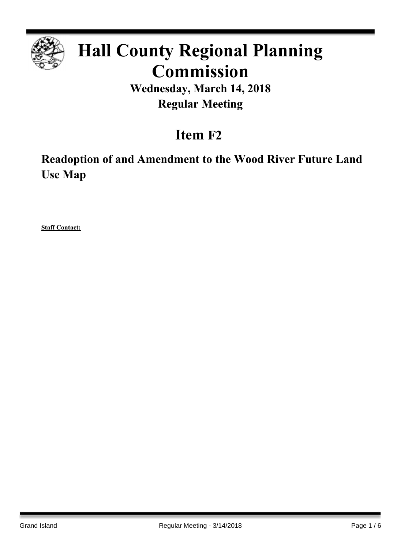

# **Hall County Regional Planning Commission**

**Wednesday, March 14, 2018 Regular Meeting**

## **Item F2**

**Readoption of and Amendment to the Wood River Future Land Use Map**

**Staff Contact:**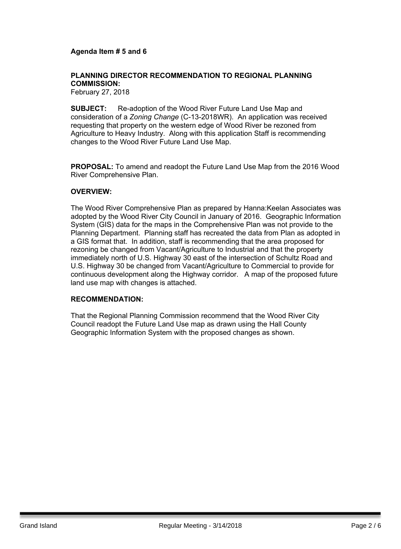## **Agenda Item # 5 and 6**

## **PLANNING DIRECTOR RECOMMENDATION TO REGIONAL PLANNING COMMISSION:**

February 27, 2018

**SUBJECT:** Re-adoption of the Wood River Future Land Use Map and consideration of a *Zoning Change* (C-13-2018WR). An application was received requesting that property on the western edge of Wood River be rezoned from Agriculture to Heavy Industry. Along with this application Staff is recommending changes to the Wood River Future Land Use Map.

**PROPOSAL:** To amend and readopt the Future Land Use Map from the 2016 Wood River Comprehensive Plan.

#### **OVERVIEW:**

The Wood River Comprehensive Plan as prepared by Hanna:Keelan Associates was adopted by the Wood River City Council in January of 2016. Geographic Information System (GIS) data for the maps in the Comprehensive Plan was not provide to the Planning Department. Planning staff has recreated the data from Plan as adopted in a GIS format that. In addition, staff is recommending that the area proposed for rezoning be changed from Vacant/Agriculture to Industrial and that the property immediately north of U.S. Highway 30 east of the intersection of Schultz Road and U.S. Highway 30 be changed from Vacant/Agriculture to Commercial to provide for continuous development along the Highway corridor. A map of the proposed future land use map with changes is attached.

## **RECOMMENDATION:**

That the Regional Planning Commission recommend that the Wood River City Council readopt the Future Land Use map as drawn using the Hall County Geographic Information System with the proposed changes as shown.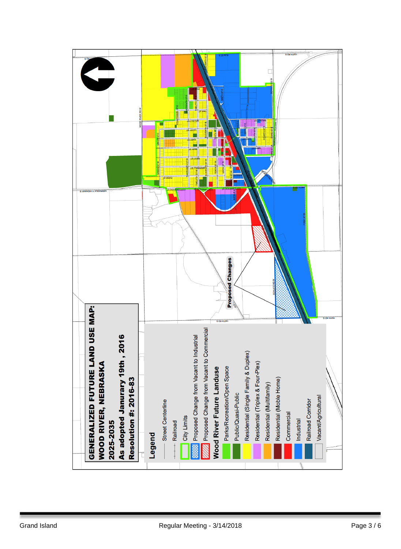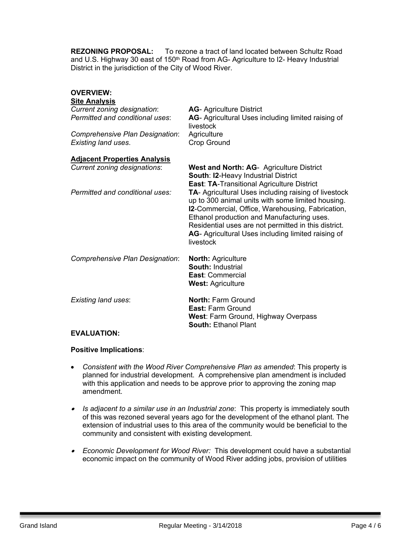**REZONING PROPOSAL:** To rezone a tract of land located between Schultz Road and U.S. Highway 30 east of 150<sup>th</sup> Road from AG- Agriculture to I2- Heavy Industrial District in the jurisdiction of the City of Wood River.

## **OVERVIEW:**

| <b>AG-Agriculture District</b><br>AG- Agricultural Uses including limited raising of<br>livestock<br>Agriculture<br><b>Crop Ground</b>                                                                                                                                                                                                                                                      |
|---------------------------------------------------------------------------------------------------------------------------------------------------------------------------------------------------------------------------------------------------------------------------------------------------------------------------------------------------------------------------------------------|
| <b>West and North: AG- Agriculture District</b><br>South: I2-Heavy Industrial District                                                                                                                                                                                                                                                                                                      |
| <b>East: TA-Transitional Agriculture District</b><br>TA- Agricultural Uses including raising of livestock<br>up to 300 animal units with some limited housing.<br>I2-Commercial, Office, Warehousing, Fabrication,<br>Ethanol production and Manufacturing uses.<br>Residential uses are not permitted in this district.<br>AG- Agricultural Uses including limited raising of<br>livestock |
| <b>North: Agriculture</b><br><b>South: Industrial</b><br>East: Commercial<br><b>West: Agriculture</b>                                                                                                                                                                                                                                                                                       |
| <b>North: Farm Ground</b><br><b>East: Farm Ground</b><br>West: Farm Ground, Highway Overpass<br><b>South: Ethanol Plant</b>                                                                                                                                                                                                                                                                 |
|                                                                                                                                                                                                                                                                                                                                                                                             |

## **EVALUATION:**

## **Positive Implications**:

- *Consistent with the Wood River Comprehensive Plan as amended*: This property is planned for industrial development. A comprehensive plan amendment is included with this application and needs to be approve prior to approving the zoning map amendment.
- $\bullet$  *Is adjacent to a similar use in an Industrial zone*: This property is immediately south of this was rezoned several years ago for the development of the ethanol plant. The extension of industrial uses to this area of the community would be beneficial to the community and consistent with existing development.
- *Economic Development for Wood River:* This development could have a substantial economic impact on the community of Wood River adding jobs, provision of utilities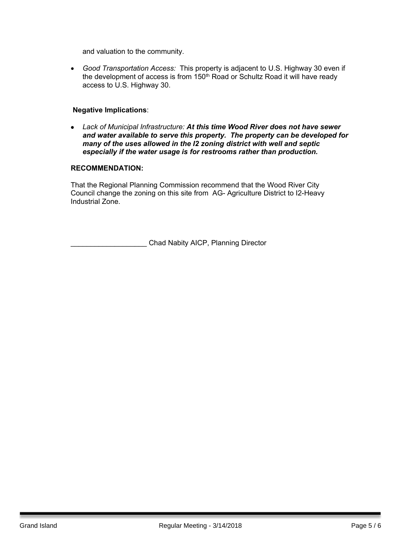and valuation to the community.

 *Good Transportation Access:* This property is adjacent to U.S. Highway 30 even if the development of access is from 150<sup>th</sup> Road or Schultz Road it will have ready access to U.S. Highway 30.

## **Negative Implications**:

 *Lack of Municipal Infrastructure: At this time Wood River does not have sewer and water available to serve this property. The property can be developed for many of the uses allowed in the I2 zoning district with well and septic especially if the water usage is for restrooms rather than production.*

### **RECOMMENDATION:**

That the Regional Planning Commission recommend that the Wood River City Council change the zoning on this site from AG- Agriculture District to I2-Heavy Industrial Zone.

\_\_\_\_\_\_\_\_\_\_\_\_\_\_\_\_\_\_\_ Chad Nabity AICP, Planning Director